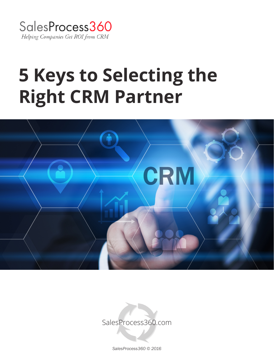

# **5 Keys to Selecting the Right CRM Partner**



SalesProcess360.com

*SalesProcess360 © 2016*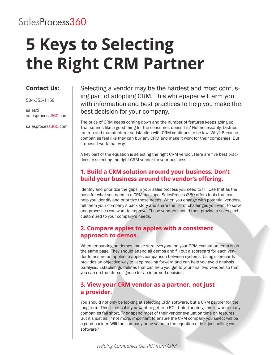### SalesProcess360

## **5 Keys to Selecting the Right CRM Partner**

### **Contact Us:**

504-355-1150

sales@ salesprocess360.com

salesprocess360.com

Selecting a vendor may be the hardest and most confusing part of adopting CRM. This whitepaper will arm you with information and best practices to help you make the best decision for your company.

The price of CRM keeps coming down and the number of features keeps going up. That sounds like a good thing for the consumer, doesn't it? Not necessarily. Distributor, rep and manufacturer satisfaction with CRM continues to be low. Why? Because companies feel like they can buy any CRM and make it work for their companies. But it doesn't work that way.

A key part of the equation is selecting the right CRM vendor. Here are five best practices to selecting the right CRM vendor for your business.

#### **1. Build a CRM solution around your business. Don't build your business around the vendor's offering.**

Identify and prioritize the gaps in your sales process you need to fill. Use that as the base for what you need in a CRM package. SalesProcess360 offers tools that can help you identify and prioritize these needs. When you engage with potential vendors, tell them your company's back story and share the list of challenges you want to solve and processes you want to improve. These vendors should then provide a sales pitch customized to your company's needs.

### **2. Compare apples to apples with a consistent approach to demos.**

When embarking on demos, make sure everyone on your CRM evaluation team is on the same page. They should attend all demos and fill out a scorecard for each vendor to ensure an apples-to-apples comparison between systems. Using scorecards provides an objective way to keep moving forward and can help you avoid analysis paralysis. Establish guidelines that can help you get to your final two vendors so that you can do true due diligence for an informed decision.

### **3. View your CRM vendor as a partner, not just a provider.**

You should not only be looking at selecting CRM software, but a CRM partner for the long-term. This is critical if you want to get true ROI. Unfortunately, this is where many companies fall short. They spend most of their vendor evaluation time on features. But it's just as, if not more, important to ensure the CRM company you select will be a good partner. Will the company bring value to the equation or is it just selling you software?

*Helping Companies Get ROI from CRM*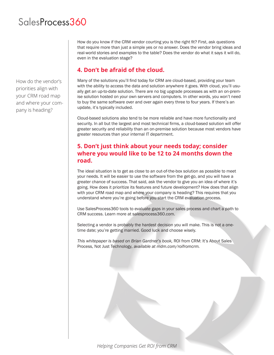### SalesProcess360

How do the vendor's priorities align with your CRM road map and where your company is heading?

How do you know if the CRM vendor courting you is the right fit? First, ask questions that require more than just a simple yes or no answer. Does the vendor bring ideas and real-world stories and examples to the table? Does the vendor do what it says it will do, even in the evaluation stage?

#### **4. Don't be afraid of the cloud.**

Many of the solutions you'll find today for CRM are cloud-based, providing your team with the ability to access the data and solution anywhere it goes. With cloud, you'll usually get an up-to-date solution. There are no big upgrade processes as with an on-premise solution hosted on your own servers and computers. In other words, you won't need to buy the same software over and over again every three to four years. If there's an update, it's typically included.

Cloud-based solutions also tend to be more reliable and have more functionality and security. In all but the largest and most technical firms, a cloud-based solution will offer greater security and reliability than an on-premise solution because most vendors have greater resources than your internal IT department.

### **5. Don't just think about your needs today; consider where you would like to be 12 to 24 months down the road.**

The ideal situation is to get as close to an out-of-the-box solution as possible to meet your needs. It will be easier to use the software from the get-go, and you will have a greater chance of success. That said, ask the vendor to give you an idea of where it's going. How does it prioritize its features and future development? How does that align with your CRM road map and where your company is heading? This requires that you understand where you're going before you start the CRM evaluation process.

Use SalesProcess360 tools to evaluate gaps in your sales process and chart a path to CRM success. Learn more at salesprocess360.com.

Selecting a vendor is probably the hardest decision you will make. This is not a onetime date; you're getting married. Good luck and choose wisely.

*This whitepaper is based on Brian Gardner's book,* ROI from CRM: It's About Sales Process, Not Just Technology*, available at mdm.com/roifromcrm.*